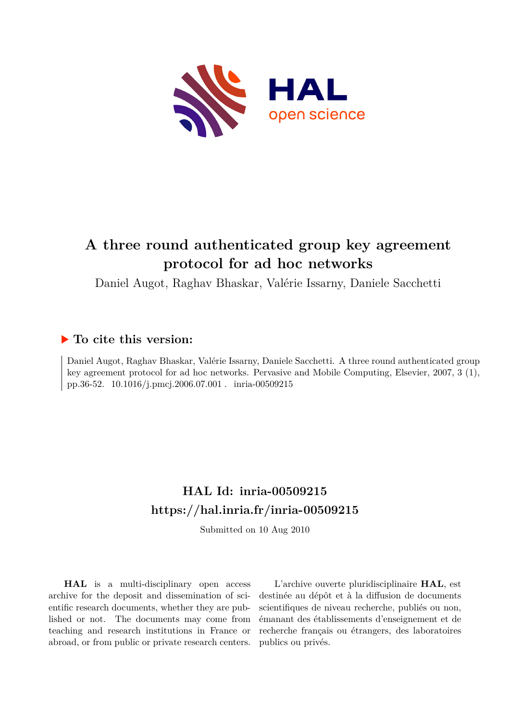

# **A three round authenticated group key agreement protocol for ad hoc networks**

Daniel Augot, Raghav Bhaskar, Valérie Issarny, Daniele Sacchetti

# **To cite this version:**

Daniel Augot, Raghav Bhaskar, Valérie Issarny, Daniele Sacchetti. A three round authenticated group key agreement protocol for ad hoc networks. Pervasive and Mobile Computing, Elsevier, 2007, 3 (1), pp.36-52. 10.1016/j.pmcj.2006.07.001 . inria-00509215

# **HAL Id: inria-00509215 <https://hal.inria.fr/inria-00509215>**

Submitted on 10 Aug 2010

**HAL** is a multi-disciplinary open access archive for the deposit and dissemination of scientific research documents, whether they are published or not. The documents may come from teaching and research institutions in France or abroad, or from public or private research centers.

L'archive ouverte pluridisciplinaire **HAL**, est destinée au dépôt et à la diffusion de documents scientifiques de niveau recherche, publiés ou non, émanant des établissements d'enseignement et de recherche français ou étrangers, des laboratoires publics ou privés.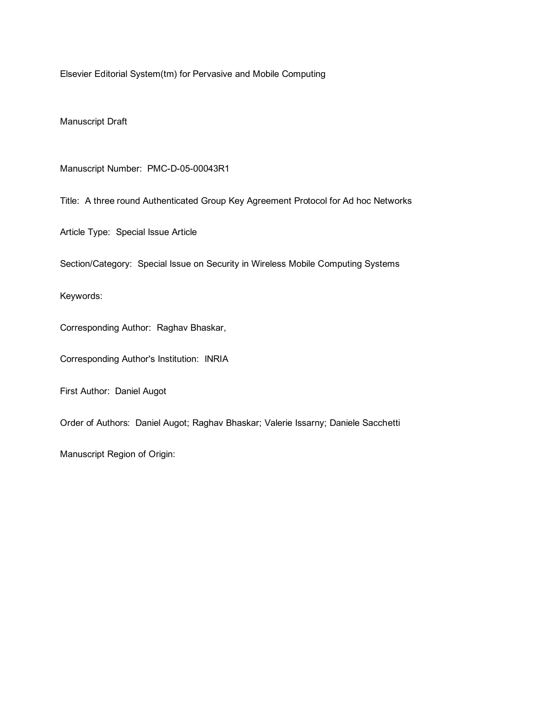Elsevier Editorial System(tm) for Pervasive and Mobile Computing

Manuscript Draft

Manuscript Number: PMC-D-05-00043R1

Title: A three round Authenticated Group Key Agreement Protocol for Ad hoc Networks

Article Type: Special Issue Article

Section/Category: Special Issue on Security in Wireless Mobile Computing Systems

Keywords:

Corresponding Author: Raghav Bhaskar,

Corresponding Author's Institution: INRIA

First Author: Daniel Augot

Order of Authors: Daniel Augot; Raghav Bhaskar; Valerie Issarny; Daniele Sacchetti

Manuscript Region of Origin: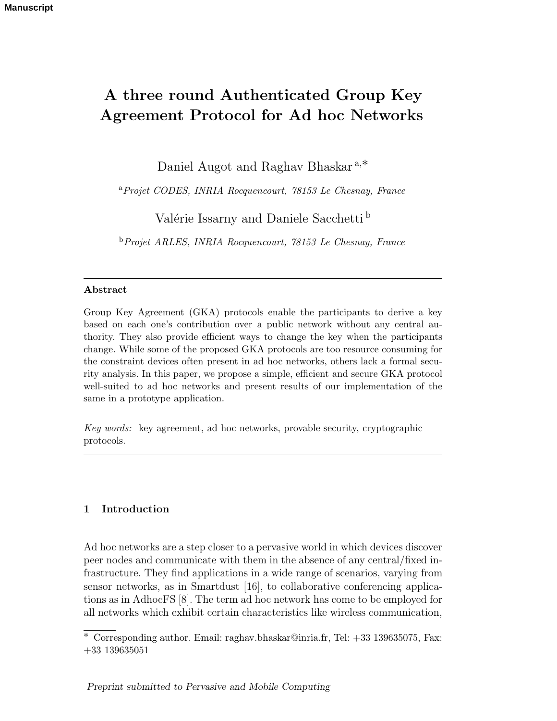# **A three round Authenticated Group Key Agreement Protocol for Ad hoc Networks**

Daniel Augot and Raghav Bhaskar <sup>a</sup>,<sup>∗</sup>

<sup>a</sup>*Projet CODES, INRIA Rocquencourt, 78153 Le Chesnay, France*

Valérie Issarny and Daniele Sacchetti b

<sup>b</sup>*Projet ARLES, INRIA Rocquencourt, 78153 Le Chesnay, France*

#### **Abstract**

Group Key Agreement (GKA) protocols enable the participants to derive a key based on each one's contribution over a public network without any central authority. They also provide efficient ways to change the key when the participants change. While some of the proposed GKA protocols are too resource consuming for the constraint devices often present in ad hoc networks, others lack a formal security analysis. In this paper, we propose a simple, efficient and secure GKA protocol well-suited to ad hoc networks and present results of our implementation of the same in a prototype application.

*Key words:* key agreement, ad hoc networks, provable security, cryptographic protocols.

#### **1 Introduction**

Ad hoc networks are a step closer to a pervasive world in which devices discover peer nodes and communicate with them in the absence of any central/fixed infrastructure. They find applications in a wide range of scenarios, varying from sensor networks, as in Smartdust [16], to collaborative conferencing applications as in AdhocFS [8]. The term ad hoc network has come to be employed for all networks which exhibit certain characteristics like wireless communication,

 $\overline{\text{*} \text{ Corresponding author}}$ . Email: raghav.bhaskar@inria.fr, Tel: +33 139635075, Fax: +33 139635051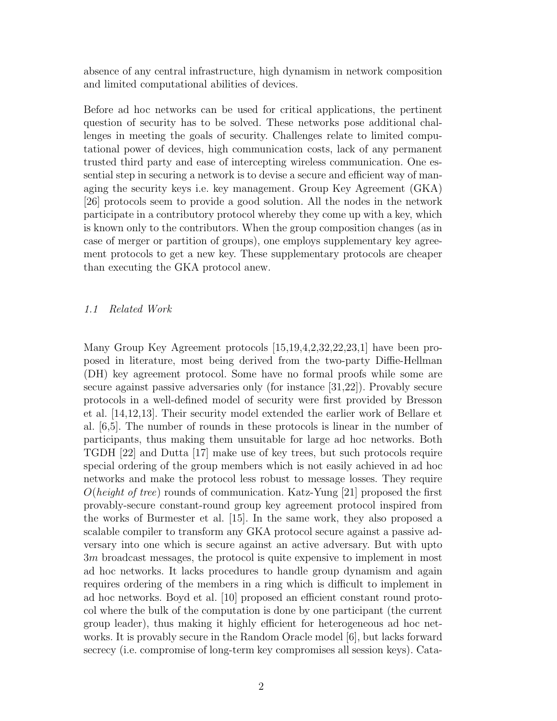absence of any central infrastructure, high dynamism in network composition and limited computational abilities of devices.

Before ad hoc networks can be used for critical applications, the pertinent question of security has to be solved. These networks pose additional challenges in meeting the goals of security. Challenges relate to limited computational power of devices, high communication costs, lack of any permanent trusted third party and ease of intercepting wireless communication. One essential step in securing a network is to devise a secure and efficient way of managing the security keys i.e. key management. Group Key Agreement (GKA) [26] protocols seem to provide a good solution. All the nodes in the network participate in a contributory protocol whereby they come up with a key, which is known only to the contributors. When the group composition changes (as in case of merger or partition of groups), one employs supplementary key agreement protocols to get a new key. These supplementary protocols are cheaper than executing the GKA protocol anew.

#### 1.1 Related Work

Many Group Key Agreement protocols [15,19,4,2,32,22,23,1] have been proposed in literature, most being derived from the two-party Diffie-Hellman (DH) key agreement protocol. Some have no formal proofs while some are secure against passive adversaries only (for instance [31,22]). Provably secure protocols in a well-defined model of security were first provided by Bresson et al. [14,12,13]. Their security model extended the earlier work of Bellare et al. [6,5]. The number of rounds in these protocols is linear in the number of participants, thus making them unsuitable for large ad hoc networks. Both TGDH [22] and Dutta [17] make use of key trees, but such protocols require special ordering of the group members which is not easily achieved in ad hoc networks and make the protocol less robust to message losses. They require  $O(height of tree)$  rounds of communication. Katz-Yung [21] proposed the first provably-secure constant-round group key agreement protocol inspired from the works of Burmester et al. [15]. In the same work, they also proposed a scalable compiler to transform any GKA protocol secure against a passive adversary into one which is secure against an active adversary. But with upto 3m broadcast messages, the protocol is quite expensive to implement in most ad hoc networks. It lacks procedures to handle group dynamism and again requires ordering of the members in a ring which is difficult to implement in ad hoc networks. Boyd et al. [10] proposed an efficient constant round protocol where the bulk of the computation is done by one participant (the current group leader), thus making it highly efficient for heterogeneous ad hoc networks. It is provably secure in the Random Oracle model [6], but lacks forward secrecy (i.e. compromise of long-term key compromises all session keys). Cata-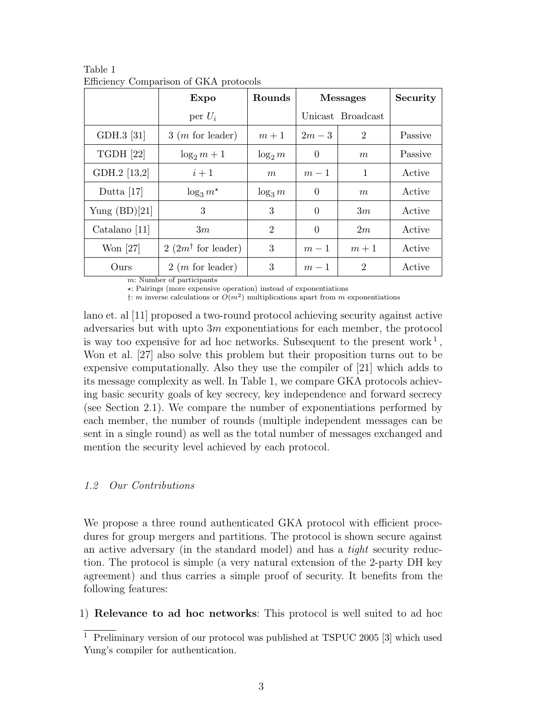|                  | Expo                                                   | Rounds         | <b>Messages</b> |                   | Security |
|------------------|--------------------------------------------------------|----------------|-----------------|-------------------|----------|
|                  | per $U_i$                                              |                |                 | Unicast Broadcast |          |
| GDH.3 [31]       | $3(m \text{ for leader})$                              | $m+1$          | $2m-3$          | $\overline{2}$    | Passive  |
| <b>TGDH</b> [22] | $\log_2 m + 1$                                         | $\log_2 m$     | $\theta$        | m                 | Passive  |
| GDH.2 [13,2]     | $i+1$                                                  | m              | $m-1$           | $\mathbf{1}$      | Active   |
| Dutta $[17]$     | $\log_3 m^*$                                           | $\log_3 m$     | $\theta$        | m                 | Active   |
| Yung $(BD)[21]$  | 3                                                      | 3              | $\overline{0}$  | 3m                | Active   |
| Catalano $[11]$  | 3m                                                     | $\overline{2}$ | $\theta$        | 2m                | Active   |
| Won $[27]$       | $2(2m^{\dagger}$ for leader)                           | 3              | $m-1$           | $m+1$             | Active   |
| Ours             | $2(m \text{ for leader})$<br>m. Number of pertigipants | 3              | $m-1$           | $\overline{2}$    | Active   |

Table 1 Efficiency Comparison of GKA protocols

m: Number of participants

-: Pairings (more expensive operation) instead of exponentiations

 $\dagger$ : m inverse calculations or  $O(m^2)$  multiplications apart from m exponentiations

lano et. al [11] proposed a two-round protocol achieving security against active adversaries but with upto  $3m$  exponentiations for each member, the protocol is way too expensive for ad hoc networks. Subsequent to the present work<sup>1</sup>, Won et al. [27] also solve this problem but their proposition turns out to be expensive computationally. Also they use the compiler of [21] which adds to its message complexity as well. In Table 1, we compare GKA protocols achieving basic security goals of key secrecy, key independence and forward secrecy (see Section 2.1). We compare the number of exponentiations performed by each member, the number of rounds (multiple independent messages can be sent in a single round) as well as the total number of messages exchanged and mention the security level achieved by each protocol.

# 1.2 Our Contributions

We propose a three round authenticated GKA protocol with efficient procedures for group mergers and partitions. The protocol is shown secure against an active adversary (in the standard model) and has a tight security reduction. The protocol is simple (a very natural extension of the 2-party DH key agreement) and thus carries a simple proof of security. It benefits from the following features:

1) **Relevance to ad hoc networks**: This protocol is well suited to ad hoc

<sup>&</sup>lt;sup>1</sup> Preliminary version of our protocol was published at TSPUC 2005 [3] which used Yung's compiler for authentication.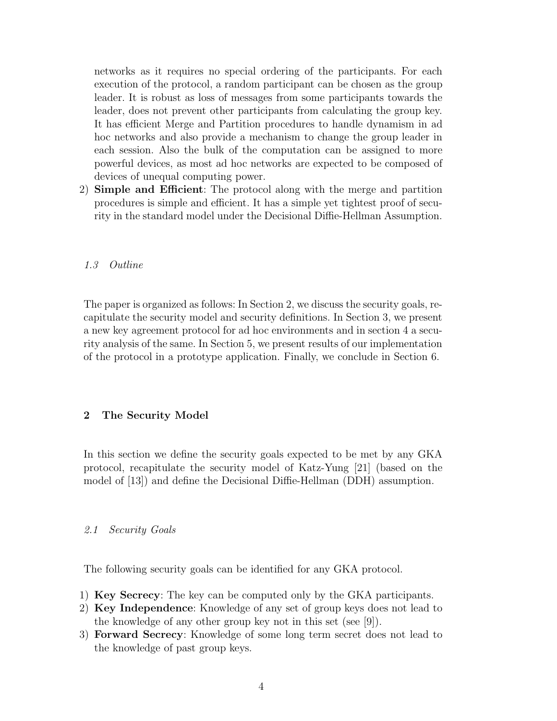networks as it requires no special ordering of the participants. For each execution of the protocol, a random participant can be chosen as the group leader. It is robust as loss of messages from some participants towards the leader, does not prevent other participants from calculating the group key. It has efficient Merge and Partition procedures to handle dynamism in ad hoc networks and also provide a mechanism to change the group leader in each session. Also the bulk of the computation can be assigned to more powerful devices, as most ad hoc networks are expected to be composed of devices of unequal computing power.

2) **Simple and Efficient**: The protocol along with the merge and partition procedures is simple and efficient. It has a simple yet tightest proof of security in the standard model under the Decisional Diffie-Hellman Assumption.

# 1.3 Outline

The paper is organized as follows: In Section 2, we discuss the security goals, recapitulate the security model and security definitions. In Section 3, we present a new key agreement protocol for ad hoc environments and in section 4 a security analysis of the same. In Section 5, we present results of our implementation of the protocol in a prototype application. Finally, we conclude in Section 6.

# **2 The Security Model**

In this section we define the security goals expected to be met by any GKA protocol, recapitulate the security model of Katz-Yung [21] (based on the model of [13]) and define the Decisional Diffie-Hellman (DDH) assumption.

#### 2.1 Security Goals

The following security goals can be identified for any GKA protocol.

- 1) **Key Secrecy**: The key can be computed only by the GKA participants.
- 2) **Key Independence**: Knowledge of any set of group keys does not lead to the knowledge of any other group key not in this set (see [9]).
- 3) **Forward Secrecy**: Knowledge of some long term secret does not lead to the knowledge of past group keys.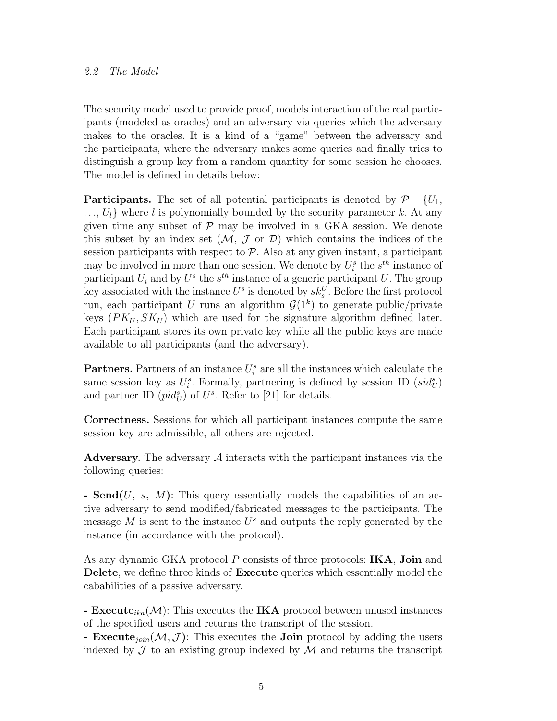#### 2.2 The Model

The security model used to provide proof, models interaction of the real participants (modeled as oracles) and an adversary via queries which the adversary makes to the oracles. It is a kind of a "game" between the adversary and the participants, where the adversary makes some queries and finally tries to distinguish a group key from a random quantity for some session he chooses. The model is defined in details below:

**Participants.** The set of all potential participants is denoted by  $\mathcal{P} = \{U_1,$  $..., U<sub>l</sub>$  where l is polynomially bounded by the security parameter k. At any given time any subset of  $P$  may be involved in a GKA session. We denote this subset by an index set  $(M, \mathcal{J}$  or  $\mathcal{D})$  which contains the indices of the session participants with respect to  $P$ . Also at any given instant, a participant may be involved in more than one session. We denote by  $U_i^s$  the  $s^{th}$  instance of participant  $U_i$  and by  $U^s$  the  $s^{th}$  instance of a generic participant U. The group key associated with the instance  $U^s$  is denoted by  $sk_s^U$ . Before the first protocol run, each participant U runs an algorithm  $\mathcal{G}(1^k)$  to generate public/private keys  $(PK_U, SK_U)$  which are used for the signature algorithm defined later. Each participant stores its own private key while all the public keys are made available to all participants (and the adversary).

**Partners.** Partners of an instance  $U_i^s$  are all the instances which calculate the same session key as  $U_i^s$ . Formally, partnering is defined by session ID  $(sid_U^s)$ and partner ID  $(pid_{U}^{s})$  of  $U^{s}$ . Refer to [21] for details.

**Correctness.** Sessions for which all participant instances compute the same session key are admissible, all others are rejected.

Adversary. The adversary  $A$  interacts with the participant instances via the following queries:

**- Send(**U**,** s**,** M**)**: This query essentially models the capabilities of an active adversary to send modified/fabricated messages to the participants. The message M is sent to the instance  $U^s$  and outputs the reply generated by the instance (in accordance with the protocol).

As any dynamic GKA protocol P consists of three protocols: **IKA**, **Join** and **Delete**, we define three kinds of **Execute** queries which essentially model the cababilities of a passive adversary.

**- Execute**<sub>ika</sub> $(\mathcal{M})$ : This executes the **IKA** protocol between unused instances of the specified users and returns the transcript of the session.

**- Execute**<sub>join</sub> $(M, \mathcal{J})$ : This executes the **Join** protocol by adding the users indexed by  $\mathcal J$  to an existing group indexed by  $\mathcal M$  and returns the transcript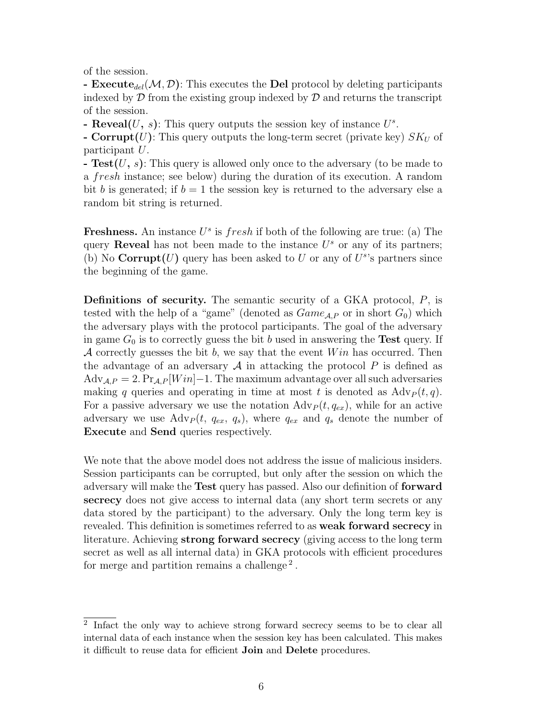of the session.

**- Execute**<sub>del</sub>( $M, D$ ): This executes the **Del** protocol by deleting participants indexed by  $\mathcal D$  from the existing group indexed by  $\mathcal D$  and returns the transcript of the session.

**- Reveal** $(U, s)$ : This query outputs the session key of instance  $U^s$ .

**- Corrupt(U)**: This query outputs the long-term secret (private key)  $SK_U$  of participant U.

**- Test(**U**,** s**)**: This query is allowed only once to the adversary (to be made to a fresh instance; see below) during the duration of its execution. A random bit b is generated; if  $b = 1$  the session key is returned to the adversary else a random bit string is returned.

**Freshness.** An instance  $U^s$  is *fresh* if both of the following are true: (a) The query **Reveal** has not been made to the instance  $U^s$  or any of its partners; (b) No **Corrupt** $(U)$  query has been asked to U or any of  $U^s$ 's partners since the beginning of the game.

**Definitions of security.** The semantic security of a GKA protocol, P, is tested with the help of a "game" (denoted as  $Game_{A,P}$  or in short  $G_0$ ) which the adversary plays with the protocol participants. The goal of the adversary in game  $G_0$  is to correctly guess the bit b used in answering the **Test** query. If A correctly guesses the bit b, we say that the event  $Win$  has occurred. Then the advantage of an adversary  $\mathcal A$  in attacking the protocol  $P$  is defined as  $\text{Adv}_{\mathcal{A},P} = 2. \Pr_{\mathcal{A},P}[Win] - 1.$  The maximum advantage over all such adversaries making q queries and operating in time at most t is denoted as  $\text{Adv}_P(t, q)$ . For a passive adversary we use the notation  $\text{Adv}_P(t, q_{ex})$ , while for an active adversary we use  $\text{Adv}_P(t, q_{ex}, q_s)$ , where  $q_{ex}$  and  $q_s$  denote the number of **Execute** and **Send** queries respectively.

We note that the above model does not address the issue of malicious insiders. Session participants can be corrupted, but only after the session on which the adversary will make the **Test** query has passed. Also our definition of **forward secrecy** does not give access to internal data (any short term secrets or any data stored by the participant) to the adversary. Only the long term key is revealed. This definition is sometimes referred to as **weak forward secrecy** in literature. Achieving **strong forward secrecy** (giving access to the long term secret as well as all internal data) in GKA protocols with efficient procedures for merge and partition remains a challenge<sup>2</sup>.

<sup>2</sup> Infact the only way to achieve strong forward secrecy seems to be to clear all internal data of each instance when the session key has been calculated. This makes it difficult to reuse data for efficient **Join** and **Delete** procedures.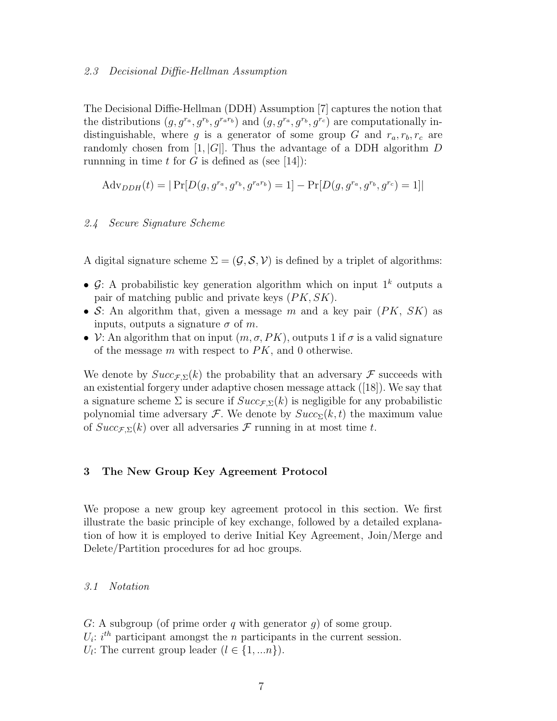#### 2.3 Decisional Diffie-Hellman Assumption

The Decisional Diffie-Hellman (DDH) Assumption [7] captures the notion that the distributions  $(g, g^{r_a}, g^{r_b}, g^{r_a r_b})$  and  $(g, g^{r_a}, g^{r_b}, g^{r_c})$  are computationally indistinguishable, where g is a generator of some group G and  $r_a, r_b, r_c$  are randomly chosen from  $[1, |G|]$ . Thus the advantage of a DDH algorithm D runnning in time t for G is defined as (see [14]):

$$
Adv_{DDH}(t) = | Pr[D(g, g^{r_a}, g^{r_b}, g^{r_a r_b}) = 1] - Pr[D(g, g^{r_a}, g^{r_b}, g^{r_c}) = 1]|
$$

#### 2.4 Secure Signature Scheme

A digital signature scheme  $\Sigma = (\mathcal{G}, \mathcal{S}, \mathcal{V})$  is defined by a triplet of algorithms:

- $\mathcal{G}$ : A probabilistic key generation algorithm which on input  $1^k$  outputs a pair of matching public and private keys  $(PK, SK)$ .
- S: An algorithm that, given a message m and a key pair  $(PK, SK)$  as inputs, outputs a signature  $\sigma$  of m.
- $V:$  An algorithm that on input  $(m, \sigma, PK)$ , outputs 1 if  $\sigma$  is a valid signature of the message  $m$  with respect to  $PK$ , and 0 otherwise.

We denote by  $Succ_{\mathcal{F},\Sigma}(k)$  the probability that an adversary  $\mathcal F$  succeeds with an existential forgery under adaptive chosen message attack ([18]). We say that a signature scheme  $\Sigma$  is secure if  $Succ_{\Sigma}(k)$  is negligible for any probabilistic polynomial time adversary F. We denote by  $Succ_{\Sigma}(k, t)$  the maximum value of  $Succ_{\mathcal{F}}(k)$  over all adversaries  $\mathcal F$  running in at most time t.

#### **3 The New Group Key Agreement Protocol**

We propose a new group key agreement protocol in this section. We first illustrate the basic principle of key exchange, followed by a detailed explanation of how it is employed to derive Initial Key Agreement, Join/Merge and Delete/Partition procedures for ad hoc groups.

#### 3.1 Notation

G: A subgroup (of prime order q with generator  $g$ ) of some group.  $U_i$ : i<sup>th</sup> participant amongst the *n* participants in the current session.  $U_l$ : The current group leader  $(l \in \{1,...n\})$ .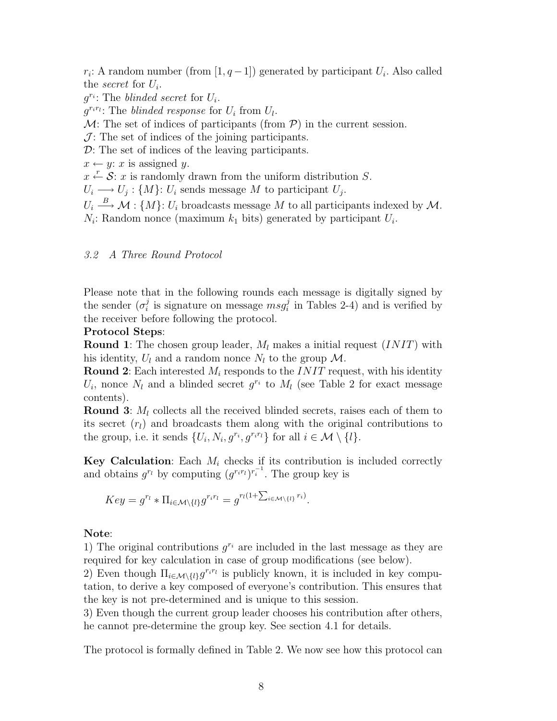$r_i$ : A random number (from [1,  $q-1$ ]) generated by participant  $U_i$ . Also called the *secret* for  $U_i$ .

 $g^{r_i}$ : The blinded secret for  $U_i$ .

 $q^{r_i r_i}$ : The blinded response for  $U_i$  from  $U_i$ .

 $M:$  The set of indices of participants (from  $P$ ) in the current session.

 $\mathcal{J}$ : The set of indices of the joining participants.

D: The set of indices of the leaving participants.

 $x \leftarrow y$ : x is assigned y.

 $x \stackrel{r}{\leftarrow} \mathcal{S}$ : x is randomly drawn from the uniform distribution S.

 $U_i \longrightarrow U_j : \{M\}$ :  $U_i$  sends message M to participant  $U_j$ .

 $U_i \stackrel{B}{\longrightarrow} \mathcal{M}$ : { $M$ }:  $U_i$  broadcasts message M to all participants indexed by M.  $N_i$ : Random nonce (maximum  $k_1$  bits) generated by participant  $U_i$ .

# 3.2 A Three Round Protocol

Please note that in the following rounds each message is digitally signed by the sender  $(\sigma_i^j$  is signature on message  $msg_i^j$  in Tables 2-4) and is verified by the receiver before following the protocol.

# **Protocol Steps**:

**Round 1**: The chosen group leader,  $M_l$  makes a initial request  $(INIT)$  with his identity,  $U_l$  and a random nonce  $N_l$  to the group M.

**Round 2**: Each interested  $M_i$  responds to the *INIT* request, with his identity  $U_i$ , nonce  $N_l$  and a blinded secret  $g^{r_i}$  to  $M_l$  (see Table 2 for exact message contents).

**Round 3**:  $M_l$  collects all the received blinded secrets, raises each of them to its secret  $(r_l)$  and broadcasts them along with the original contributions to the group, i.e. it sends  $\{U_i, N_i, g^{r_i}, g^{r_i r_i}\}\$ for all  $i \in \mathcal{M}\setminus\{l\}.$ 

**Key Calculation**: Each  $M_i$  checks if its contribution is included correctly and obtains  $g^{r_l}$  by computing  $(g^{r_i r_l})^{r_i^{-1}}$ . The group key is

$$
Key = g^{r_l} * \Pi_{i \in \mathcal{M} \setminus \{l\}} g^{r_i r_l} = g^{r_l(1 + \sum_{i \in \mathcal{M} \setminus \{l\}} r_i)}.
$$

# **Note**:

1) The original contributions  $q^{r_i}$  are included in the last message as they are required for key calculation in case of group modifications (see below).

2) Even though  $\Pi_{i\in\mathcal{M}\setminus\{l\}}g^{r_ir_l}$  is publicly known, it is included in key computation, to derive a key composed of everyone's contribution. This ensures that the key is not pre-determined and is unique to this session.

3) Even though the current group leader chooses his contribution after others, he cannot pre-determine the group key. See section 4.1 for details.

The protocol is formally defined in Table 2. We now see how this protocol can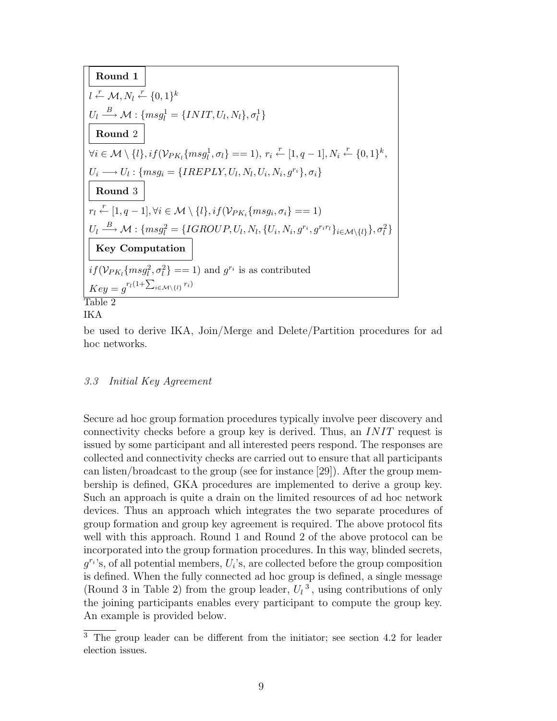**Round 1**  
\n
$$
l \stackrel{\mathcal{L}}{\leftarrow} \mathcal{M}, N_l \stackrel{\mathcal{L}}{\leftarrow} \{0, 1\}^k
$$
  
\n $U_l \stackrel{B}{\longrightarrow} \mathcal{M} : \{msg_l^1 = \{INIT, U_l, N_l\}, \sigma_l^1\}$   
\n**Round 2**  
\n $\forall i \in \mathcal{M} \setminus \{l\}, if (\mathcal{V}_{PK_l}\{msg_l^1, \sigma_l\} == 1), r_i \stackrel{r}{\leftarrow} [1, q - 1], N_i \stackrel{\mathcal{L}}{\leftarrow} \{0, 1\}^k,$   
\n $U_i \longrightarrow U_l : \{msg_i = \{IREPLY, U_l, N_l, U_i, N_i, g^{r_i}\}, \sigma_i\}$   
\n**Round 3**  
\n $r_l \stackrel{r}{\leftarrow} [1, q - 1], \forall i \in \mathcal{M} \setminus \{l\}, if (\mathcal{V}_{PK_i}\{msg_i, \sigma_i\} == 1)$   
\n $U_l \stackrel{B}{\longrightarrow} \mathcal{M} : \{msg_l^2 = \{IGROUP, U_l, N_l, \{U_i, N_i, g^{r_i}, g^{r_i r_l}\}_{i \in \mathcal{M} \setminus \{l\}}, \sigma_l^2\}$   
\n**Key Computation**  
\n $if (\mathcal{V}_{PK_l}\{msg_l^2, \sigma_l^2\} == 1)$  and  $g^{r_i}$  is as contributed  
\n $Key = g^{r_l(1 + \sum_{i \in \mathcal{M} \setminus \{l\}} r_i)}$   
\n**Table 2**

# IKA

be used to derive IKA, Join/Merge and Delete/Partition procedures for ad hoc networks.

# 3.3 Initial Key Agreement

Secure ad hoc group formation procedures typically involve peer discovery and connectivity checks before a group key is derived. Thus, an INIT request is issued by some participant and all interested peers respond. The responses are collected and connectivity checks are carried out to ensure that all participants can listen/broadcast to the group (see for instance [29]). After the group membership is defined, GKA procedures are implemented to derive a group key. Such an approach is quite a drain on the limited resources of ad hoc network devices. Thus an approach which integrates the two separate procedures of group formation and group key agreement is required. The above protocol fits well with this approach. Round 1 and Round 2 of the above protocol can be incorporated into the group formation procedures. In this way, blinded secrets,  $q^{r_i}$ 's, of all potential members,  $U_i$ 's, are collected before the group composition is defined. When the fully connected ad hoc group is defined, a single message (Round 3 in Table 2) from the group leader,  $U_l^3$ , using contributions of only the joining participants enables every participant to compute the group key. An example is provided below.

 $\overline{3}$  The group leader can be different from the initiator; see section 4.2 for leader election issues.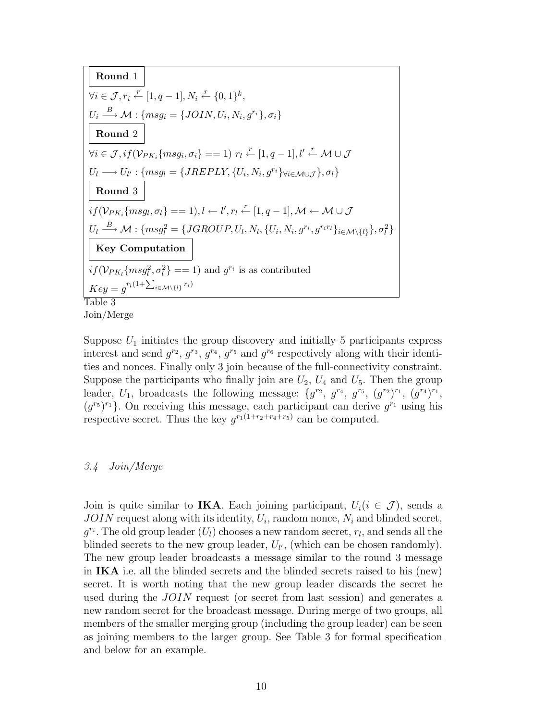**Round** 1  $\forall i \in \mathcal{J}, r_i \stackrel{r}{\leftarrow} [1, q-1], N_i \stackrel{r}{\leftarrow} \{0, 1\}^k,$  $U_i \stackrel{B}{\longrightarrow} \mathcal{M} : \{msg_i = \{JOIN, U_i, N_i, g^{r_i}\}, \sigma_i\}$ **Round** 2  $\forall i \in \mathcal{J}, if(\mathcal{V}_{PK_i}\{msg_i, \sigma_i\} == 1) \ r_l \stackrel{r}{\leftarrow} [1, q-1], l' \stackrel{r}{\leftarrow} \mathcal{M} \cup \mathcal{J}$  $U_l \longrightarrow U_{l'} : \{msg_l = \{JREPLY, \{U_i, N_i, g^{r_i}\}\}\forall i \in M \cup J}, \sigma_l\}$ **Round** 3  $if(\mathcal{V}_{PK_i}\{msg_l,\sigma_l\} == 1), l \leftarrow l', r_l \stackrel{r}{\leftarrow} [1, q-1], \mathcal{M} \leftarrow \mathcal{M} \cup \mathcal{J}$  $U_l \stackrel{B}{\longrightarrow} \mathcal{M} : \{msg_l^2 = \{JGROUP, U_l, N_l, \{U_i, N_i, g^{r_i}, g^{r_i r_l}\}_{i \in \mathcal{M}\setminus\{l\}}\}, \sigma_l^2\}$ **Key Computation**  $if(\mathcal{V}_{PK_l}\{msg_l^2, \sigma_l^2\} == 1)$  and  $g^{r_i}$  is as contributed  $Key = g^{r_l(1+\sum_{i\in\mathcal{M}\setminus\{l\}}r_i)}$ Table 3

Join/Merge

Suppose  $U_1$  initiates the group discovery and initially 5 participants express interest and send  $g^{r_2}, g^{r_3}, g^{r_4}, g^{r_5}$  and  $g^{r_6}$  respectively along with their identities and nonces. Finally only 3 join because of the full-connectivity constraint. Suppose the participants who finally join are  $U_2$ ,  $U_4$  and  $U_5$ . Then the group leader,  $U_1$ , broadcasts the following message:  $\{g^{r_2}, g^{r_4}, g^{r_5}, (g^{r_2})^{r_1}, (g^{r_4})^{r_1},\}$  $(g^{r_5})^{r_1}$ . On receiving this message, each participant can derive  $g^{r_1}$  using his respective secret. Thus the key  $q^{r_1(1+r_2+r_4+r_5)}$  can be computed.

#### 3.4 Join/Merge

Join is quite similar to **IKA**. Each joining participant,  $U_i(i \in \mathcal{J})$ , sends a  $JOIN$  request along with its identity,  $U_i$ , random nonce,  $N_i$  and blinded secret,  $g^{r_i}$ . The old group leader  $(U_l)$  chooses a new random secret,  $r_l$ , and sends all the blinded secrets to the new group leader,  $U_{l'}$ , (which can be chosen randomly). The new group leader broadcasts a message similar to the round 3 message in **IKA** i.e. all the blinded secrets and the blinded secrets raised to his (new) secret. It is worth noting that the new group leader discards the secret he used during the JOIN request (or secret from last session) and generates a new random secret for the broadcast message. During merge of two groups, all members of the smaller merging group (including the group leader) can be seen as joining members to the larger group. See Table 3 for formal specification and below for an example.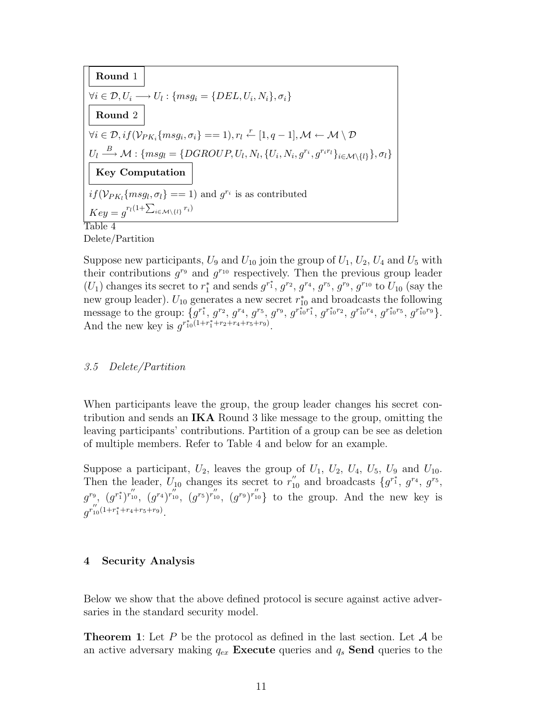**Round 1**  
\n
$$
\forall i \in \mathcal{D}, U_i \longrightarrow U_l: \{msg_i = \{DEL, U_i, N_i\}, \sigma_i\}
$$
\n**Round 2**  
\n
$$
\forall i \in \mathcal{D}, if (\mathcal{V}_{PK_i}\{msg_i, \sigma_i\} == 1), r_l \stackrel{r}{\leftarrow} [1, q - 1], \mathcal{M} \leftarrow \mathcal{M} \setminus \mathcal{D}
$$
\n
$$
U_l \stackrel{B}{\longrightarrow} \mathcal{M}: \{msg_l = \{DGROUP, U_l, N_l, \{U_i, N_i, g^{r_i}, g^{r_i r_l}\}_{i \in \mathcal{M} \setminus \{l\}}\}, \sigma_l\}
$$
\n**Key Computation**  
\n
$$
if (\mathcal{V}_{PK_l}\{msg_l, \sigma_l\} == 1) \text{ and } g^{r_i} \text{ is as contributed}
$$
\n
$$
Key = g^{r_l(1 + \sum_{i \in \mathcal{M} \setminus \{l\}} r_i)}
$$
\nTable 4

Delete/Partition

Suppose new participants,  $U_9$  and  $U_{10}$  join the group of  $U_1, U_2, U_4$  and  $U_5$  with their contributions  $g^{r_9}$  and  $g^{r_{10}}$  respectively. Then the previous group leader  $(U_1)$  changes its secret to  $r_1^*$  and sends  $g^{r_1^*}, g^{r_2}, g^{r_4}, g^{r_5}, g^{r_9}, g^{r_{10}}$  to  $U_{10}$  (say the new group leader).  $U_{10}$  generates a new secret  $r_{10}^*$  and broadcasts the following message to the group:  $\{g^{r_1^*}, g^{r_2}, g^{r_4}, g^{r_5}, g^{r_9}, g^{r_1^*0^*r_1^*}, g^{r_1^*0^{r_2}}, g^{r_1^*0^{r_5}}, g^{r_1^*0^{r_9}}\}.$ And the new key is  $g^{r_{10}^* (1+r_1^*+r_2+r_4+r_5+r_9)}$ .

#### 3.5 Delete/Partition

When participants leave the group, the group leader changes his secret contribution and sends an **IKA** Round 3 like message to the group, omitting the leaving participants' contributions. Partition of a group can be see as deletion of multiple members. Refer to Table 4 and below for an example.

Suppose a participant,  $U_2$ , leaves the group of  $U_1$ ,  $U_2$ ,  $U_4$ ,  $U_5$ ,  $U_9$  and  $U_{10}$ . Then the leader,  $U_{10}$  changes its secret to  $r''_{10}$  and broadcasts  $\{g^{r_1^*}, g^{r_4}, g^{r_5}, g^{r_6}, g^{r_7}\}$  $g^{r_9}, (g^{r_1^*})^{r''_{10}}, (g^{r_4})^{r''_{10}}, (g^{r_5})^{r''_{10}}, (g^{r_9})^{r''_{10}}\}$  to the group. And the new key is  $g^{r''_{10}(1+r_1^*+r_4+r_5+r_9)}.$ 

#### **4 Security Analysis**

Below we show that the above defined protocol is secure against active adversaries in the standard security model.

**Theorem 1**: Let P be the protocol as defined in the last section. Let  $\mathcal{A}$  be an active adversary making  $q_{ex}$  **Execute** queries and  $q_s$  **Send** queries to the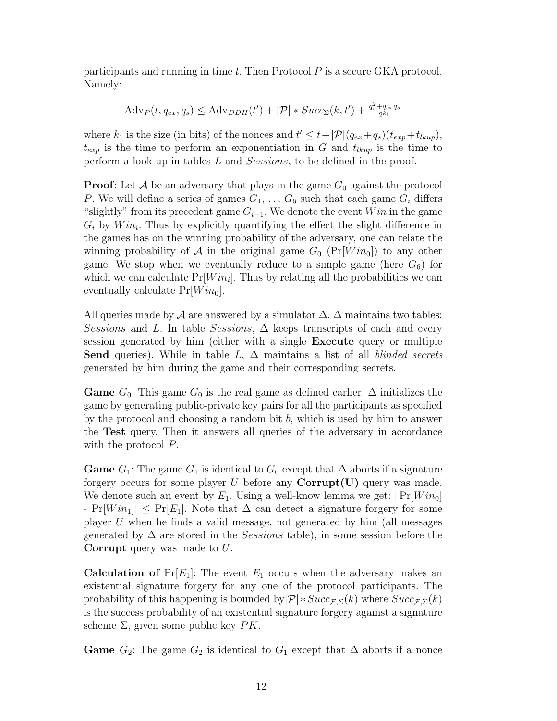participants and running in time  $t$ . Then Protocol  $P$  is a secure GKA protocol. Namely:

$$
Adv_P(t, q_{ex}, q_s) \le Adv_{DDH}(t') + |\mathcal{P}| * Succ_{\Sigma}(k, t') + \frac{q_s^2 + q_{ex}q_s}{2^{k_1}}
$$

where  $k_1$  is the size (in bits) of the nonces and  $t' \leq t + |\mathcal{P}|(q_{ex}+q_s)(t_{exp}+t_{lkup}),$  $t_{exp}$  is the time to perform an exponentiation in G and  $t_{lkup}$  is the time to perform a look-up in tables L and Sessions, to be defined in the proof.

**Proof**: Let  $\mathcal A$  be an adversary that plays in the game  $G_0$  against the protocol P. We will define a series of games  $G_1, \ldots, G_6$  such that each game  $G_i$  differs "slightly" from its precedent game  $G_{i-1}$ . We denote the event Win in the game  $G_i$  by  $Win_i$ . Thus by explicitly quantifying the effect the slight difference in the games has on the winning probability of the adversary, one can relate the winning probability of A in the original game  $G_0$  (Pr[ $Win_0$ ]) to any other game. We stop when we eventually reduce to a simple game (here  $G_6$ ) for which we can calculate  $Pr[Win_i]$ . Thus by relating all the probabilities we can eventually calculate  $Pr[Win_0]$ .

All queries made by  $\mathcal A$  are answered by a simulator  $\Delta$ .  $\Delta$  maintains two tables: Sessions and L. In table Sessions,  $\Delta$  keeps transcripts of each and every session generated by him (either with a single **Execute** query or multiple **Send** queries). While in table  $L$ ,  $\Delta$  maintains a list of all *blinded secrets* generated by him during the game and their corresponding secrets.

**Game**  $G_0$ : This game  $G_0$  is the real game as defined earlier.  $\Delta$  initializes the game by generating public-private key pairs for all the participants as specified by the protocol and choosing a random bit  $b$ , which is used by him to answer the **Test** query. Then it answers all queries of the adversary in accordance with the protocol P.

**Game**  $G_1$ : The game  $G_1$  is identical to  $G_0$  except that  $\Delta$  aborts if a signature forgery occurs for some player  $U$  before any  $\text{Corrupt}(U)$  query was made. We denote such an event by  $E_1$ . Using a well-know lemma we get:  $|\Pr[Win_0]|$  $-$  Pr $[Win_1] \leq Pr[E_1]$ . Note that  $\Delta$  can detect a signature forgery for some player U when he finds a valid message, not generated by him (all messages generated by  $\Delta$  are stored in the *Sessions* table), in some session before the **Corrupt** query was made to U.

**Calculation of**  $Pr[E_1]$ : The event  $E_1$  occurs when the adversary makes an existential signature forgery for any one of the protocol participants. The probability of this happening is bounded by  $\mathcal{P}$  \*  $Succ_{\mathcal{F},\Sigma}(k)$  where  $Succ_{\mathcal{F},\Sigma}(k)$ is the success probability of an existential signature forgery against a signature scheme  $\Sigma$ , given some public key  $PK$ .

**Game**  $G_2$ : The game  $G_2$  is identical to  $G_1$  except that  $\Delta$  aborts if a nonce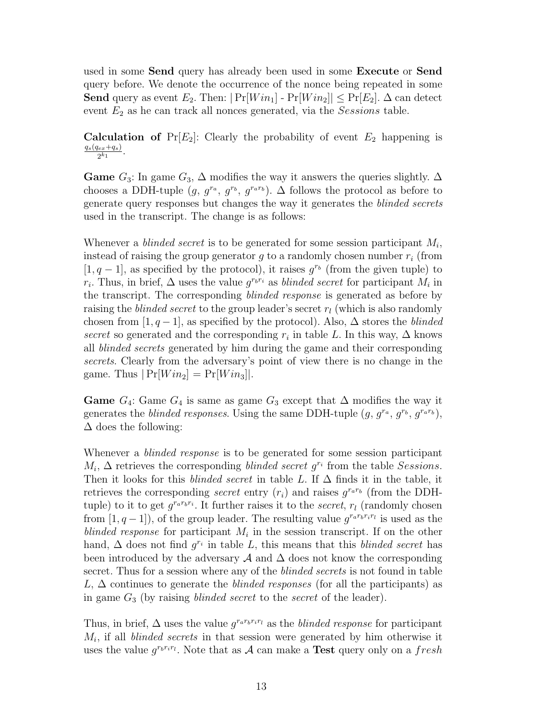used in some **Send** query has already been used in some **Execute** or **Send** query before. We denote the occurrence of the nonce being repeated in some **Send** query as event  $E_2$ . Then:  $|\Pr[Win_1] - \Pr[Win_2]| \leq \Pr[E_2]$ .  $\Delta$  can detect event  $E_2$  as he can track all nonces generated, via the *Sessions* table.

**Calculation of**  $Pr[E_2]$ : Clearly the probability of event  $E_2$  happening is  $\frac{q_s(q_{ex}+q_s)}{2^{k_1}}.$ 

**Game**  $G_3$ : In game  $G_3$ ,  $\Delta$  modifies the way it answers the queries slightly.  $\Delta$ chooses a DDH-tuple  $(g, g^{r_a}, g^{r_b}, g^{r_a r_b})$ . ∆ follows the protocol as before to generate query responses but changes the way it generates the blinded secrets used in the transcript. The change is as follows:

Whenever a *blinded secret* is to be generated for some session participant  $M_i$ , instead of raising the group generator  $g$  to a randomly chosen number  $r_i$  (from [1, q – 1], as specified by the protocol), it raises  $g^{r_b}$  (from the given tuple) to  $r_i$ . Thus, in brief,  $\Delta$  uses the value  $g^{r_b r_i}$  as *blinded secret* for participant  $M_i$  in the transcript. The corresponding blinded response is generated as before by raising the *blinded secret* to the group leader's secret  $r_l$  (which is also randomly chosen from [1, q − 1], as specified by the protocol). Also,  $\Delta$  stores the blinded secret so generated and the corresponding  $r_i$  in table L. In this way,  $\Delta$  knows all blinded secrets generated by him during the game and their corresponding secrets. Clearly from the adversary's point of view there is no change in the game. Thus  $|\Pr[Win_2] = \Pr[Win_3]|$ .

**Game**  $G_4$ : Game  $G_4$  is same as game  $G_3$  except that  $\Delta$  modifies the way it generates the *blinded responses*. Using the same DDH-tuple  $(g, g^{r_a}, g^{r_b}, g^{r_a r_b})$ ,  $\Delta$  does the following:

Whenever a *blinded response* is to be generated for some session participant  $M_i$ ,  $\Delta$  retrieves the corresponding *blinded secret g<sup>r<sub>i</sub></sup>* from the table *Sessions*. Then it looks for this *blinded secret* in table L. If  $\Delta$  finds it in the table, it retrieves the corresponding *secret* entry  $(r_i)$  and raises  $q^{r_a r_b}$  (from the DDHtuple) to it to get  $g^{r_a r_b r_i}$ . It further raises it to the secret,  $r_l$  (randomly chosen from  $[1, q-1]$ , of the group leader. The resulting value  $q^{r_a r_b r_i r_l}$  is used as the blinded response for participant  $M_i$  in the session transcript. If on the other hand,  $\Delta$  does not find  $g^{r_i}$  in table L, this means that this *blinded secret* has been introduced by the adversary  $\mathcal A$  and  $\Delta$  does not know the corresponding secret. Thus for a session where any of the *blinded secrets* is not found in table L,  $\Delta$  continues to generate the *blinded responses* (for all the participants) as in game  $G_3$  (by raising *blinded secret* to the *secret* of the leader).

Thus, in brief,  $\Delta$  uses the value  $g^{r_a r_b r_i r_l}$  as the *blinded response* for participant  $M_i$ , if all *blinded secrets* in that session were generated by him otherwise it uses the value  $g^{r_b r_i r_l}$ . Note that as A can make a **Test** query only on a fresh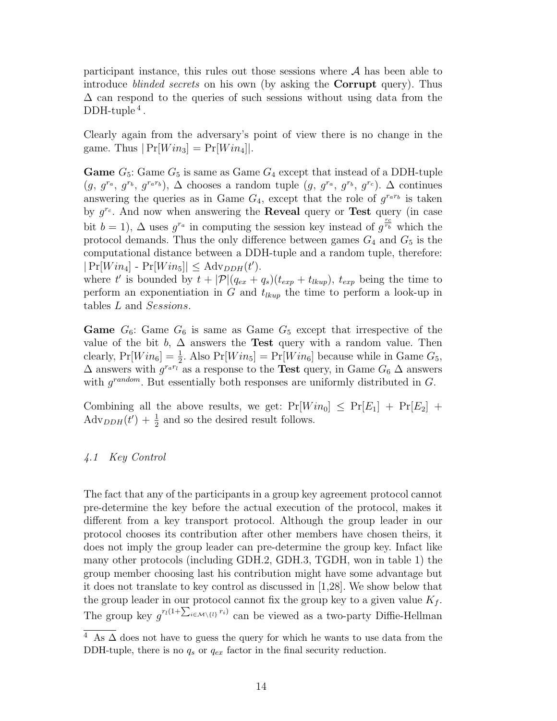participant instance, this rules out those sessions where  $A$  has been able to introduce blinded secrets on his own (by asking the **Corrupt** query). Thus  $\Delta$  can respond to the queries of such sessions without using data from the  $DDH$ -tuple<sup>4</sup>.

Clearly again from the adversary's point of view there is no change in the game. Thus  $|\Pr[Win_3] = \Pr[Win_4]|$ .

**Game**  $G_5$ : Game  $G_5$  is same as Game  $G_4$  except that instead of a DDH-tuple  $(g, g^{r_a}, g^{r_b}, g^{r_a r_b}), \Delta$  chooses a random tuple  $(g, g^{r_a}, g^{r_b}, g^{r_c}). \Delta$  continues answering the queries as in Game  $G_4$ , except that the role of  $g^{r_a r_b}$  is taken by  $g^{r_c}$ . And now when answering the **Reveal** query or **Test** query (in case bit  $b = 1$ ),  $\Delta$  uses  $g^{r_a}$  in computing the session key instead of  $g^{r_b}$  which the protocol demands. Thus the only difference between games  $G_4$  and  $G_5$  is the computational distance between a DDH-tuple and a random tuple, therefore:  $|\Pr[Win_4] - \Pr[Win_5]| \leq \text{Adv}_{DDH}(t').$ 

where t' is bounded by  $t + |\mathcal{P}|(q_{ex} + q_s)(t_{exp} + t_{lkup}), t_{exp}$  being the time to perform an exponentiation in G and  $t_{lkup}$  the time to perform a look-up in tables L and Sessions.

**Game**  $G_6$ : Game  $G_6$  is same as Game  $G_5$  except that irrespective of the value of the bit  $b$ ,  $\Delta$  answers the **Test** query with a random value. Then clearly,  $Pr[Win_6] = \frac{1}{2}$ . Also  $Pr[Win_5] = Pr[Win_6]$  because while in Game  $G_5$ ,  $\Delta$  answers with  $g^{r_a r_b}$  as a response to the **Test** query, in Game  $G_6 \Delta$  answers with  $g^{random}$ . But essentially both responses are uniformly distributed in G.

Combining all the above results, we get:  $Pr[Win_0] \leq Pr[E_1] + Pr[E_2] +$  $\text{Adv}_{DDH}(t') + \frac{1}{2}$  and so the desired result follows.

# 4.1 Key Control

The fact that any of the participants in a group key agreement protocol cannot pre-determine the key before the actual execution of the protocol, makes it different from a key transport protocol. Although the group leader in our protocol chooses its contribution after other members have chosen theirs, it does not imply the group leader can pre-determine the group key. Infact like many other protocols (including GDH.2, GDH.3, TGDH, won in table 1) the group member choosing last his contribution might have some advantage but it does not translate to key control as discussed in [1,28]. We show below that the group leader in our protocol cannot fix the group key to a given value  $K_f$ . The group key  $g^{r_l(1+\sum_{i\in\mathcal{M}\setminus\{l\}} r_i)}$  can be viewed as a two-party Diffie-Hellman

 $\frac{4}{4}$  As  $\Delta$  does not have to guess the query for which he wants to use data from the DDH-tuple, there is no  $q_s$  or  $q_{ex}$  factor in the final security reduction.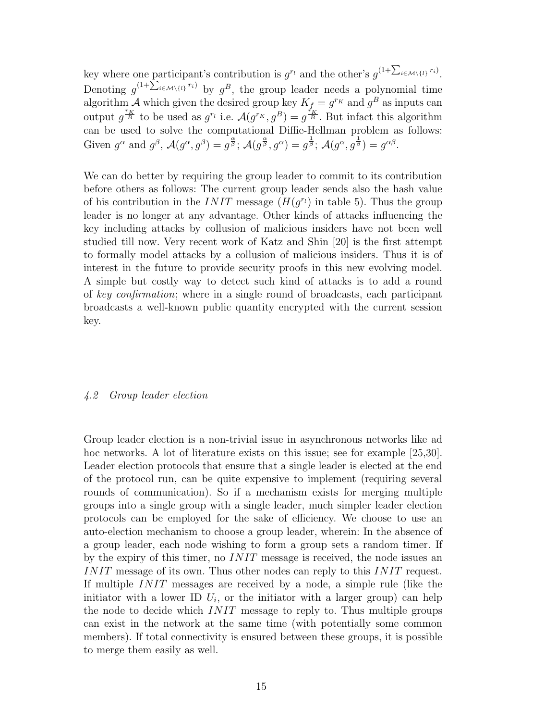key where one participant's contribution is  $g^{r_l}$  and the other's  $g^{(1+\sum_{i\in\mathcal{M}\setminus\{l\}} r_i)}$ . Denoting  $g^{(1+\sum_{i\in\mathcal{M}\setminus\{i\}} r_i)}$  by  $g^B$ , the group leader needs a polynomial time algorithm A which given the desired group key  $K_f = g^{r_K}$  and  $g^B$  as inputs can output  $g^{r_K}$  to be used as  $g^{r_l}$  i.e.  $\mathcal{A}(g^{r_K}, g^B) = g^{r_K/2}$ . But infact this algorithm can be used to solve the computational Diffie-Hellman problem as follows: Given  $g^{\alpha}$  and  $g^{\beta}$ ,  $\mathcal{A}(g^{\alpha}, g^{\beta}) = g^{\frac{\alpha}{\beta}}$ ;  $\mathcal{A}(g^{\frac{\alpha}{\beta}}, g^{\alpha}) = g^{\frac{1}{\beta}}$ ;  $\mathcal{A}(g^{\alpha}, g^{\frac{1}{\beta}}) = g^{\alpha\beta}$ .

We can do better by requiring the group leader to commit to its contribution before others as follows: The current group leader sends also the hash value of his contribution in the *INIT* message  $(H(q^{r_l})$  in table 5). Thus the group leader is no longer at any advantage. Other kinds of attacks influencing the key including attacks by collusion of malicious insiders have not been well studied till now. Very recent work of Katz and Shin [20] is the first attempt to formally model attacks by a collusion of malicious insiders. Thus it is of interest in the future to provide security proofs in this new evolving model. A simple but costly way to detect such kind of attacks is to add a round of key confirmation; where in a single round of broadcasts, each participant broadcasts a well-known public quantity encrypted with the current session key.

#### 4.2 Group leader election

Group leader election is a non-trivial issue in asynchronous networks like ad hoc networks. A lot of literature exists on this issue; see for example [25,30]. Leader election protocols that ensure that a single leader is elected at the end of the protocol run, can be quite expensive to implement (requiring several rounds of communication). So if a mechanism exists for merging multiple groups into a single group with a single leader, much simpler leader election protocols can be employed for the sake of efficiency. We choose to use an auto-election mechanism to choose a group leader, wherein: In the absence of a group leader, each node wishing to form a group sets a random timer. If by the expiry of this timer, no INIT message is received, the node issues an INIT message of its own. Thus other nodes can reply to this INIT request. If multiple INIT messages are received by a node, a simple rule (like the initiator with a lower ID  $U_i$ , or the initiator with a larger group) can help the node to decide which INIT message to reply to. Thus multiple groups can exist in the network at the same time (with potentially some common members). If total connectivity is ensured between these groups, it is possible to merge them easily as well.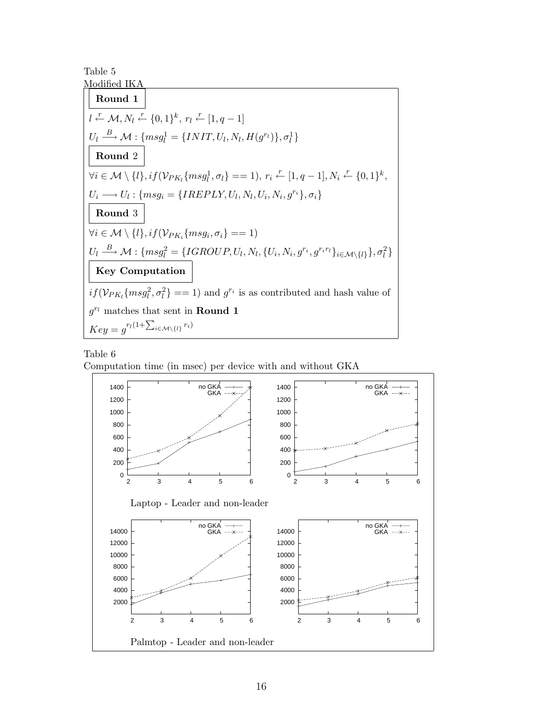Table 5



Table 6

Computation time (in msec) per device with and without GKA

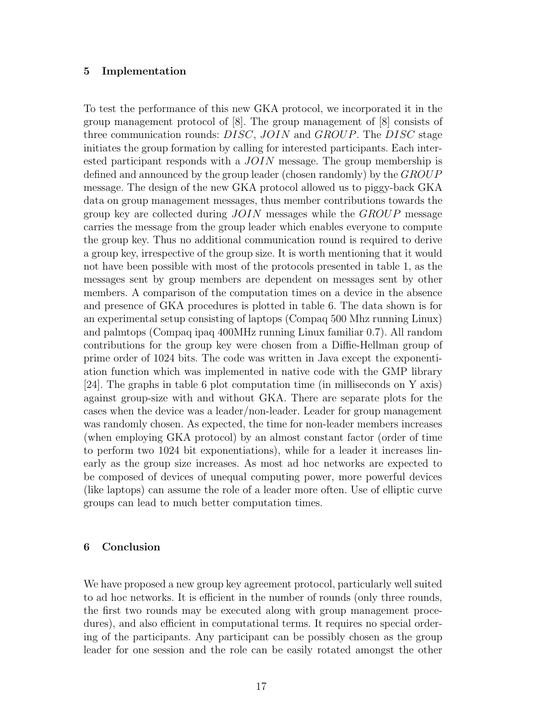#### **5 Implementation**

To test the performance of this new GKA protocol, we incorporated it in the group management protocol of [8]. The group management of [8] consists of three communication rounds: DISC, JOIN and GROUP. The DISC stage initiates the group formation by calling for interested participants. Each interested participant responds with a JOIN message. The group membership is defined and announced by the group leader (chosen randomly) by the  $GROUP$ message. The design of the new GKA protocol allowed us to piggy-back GKA data on group management messages, thus member contributions towards the group key are collected during  $JOIN$  messages while the  $GROUP$  message carries the message from the group leader which enables everyone to compute the group key. Thus no additional communication round is required to derive a group key, irrespective of the group size. It is worth mentioning that it would not have been possible with most of the protocols presented in table 1, as the messages sent by group members are dependent on messages sent by other members. A comparison of the computation times on a device in the absence and presence of GKA procedures is plotted in table 6. The data shown is for an experimental setup consisting of laptops (Compaq 500 Mhz running Linux) and palmtops (Compaq ipaq 400MHz running Linux familiar 0.7). All random contributions for the group key were chosen from a Diffie-Hellman group of prime order of 1024 bits. The code was written in Java except the exponentiation function which was implemented in native code with the GMP library [24]. The graphs in table 6 plot computation time (in milliseconds on Y axis) against group-size with and without GKA. There are separate plots for the cases when the device was a leader/non-leader. Leader for group management was randomly chosen. As expected, the time for non-leader members increases (when employing GKA protocol) by an almost constant factor (order of time to perform two 1024 bit exponentiations), while for a leader it increases linearly as the group size increases. As most ad hoc networks are expected to be composed of devices of unequal computing power, more powerful devices (like laptops) can assume the role of a leader more often. Use of elliptic curve groups can lead to much better computation times.

#### **6 Conclusion**

We have proposed a new group key agreement protocol, particularly well suited to ad hoc networks. It is efficient in the number of rounds (only three rounds, the first two rounds may be executed along with group management procedures), and also efficient in computational terms. It requires no special ordering of the participants. Any participant can be possibly chosen as the group leader for one session and the role can be easily rotated amongst the other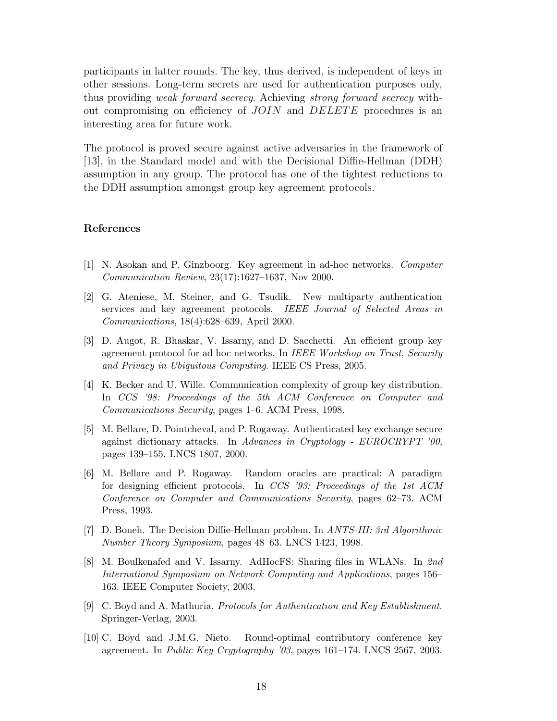participants in latter rounds. The key, thus derived, is independent of keys in other sessions. Long-term secrets are used for authentication purposes only, thus providing weak forward secrecy. Achieving strong forward secrecy without compromising on efficiency of  $JOIN$  and  $DELETE$  procedures is an interesting area for future work.

The protocol is proved secure against active adversaries in the framework of [13], in the Standard model and with the Decisional Diffie-Hellman (DDH) assumption in any group. The protocol has one of the tightest reductions to the DDH assumption amongst group key agreement protocols.

#### **References**

- [1] N. Asokan and P. Ginzboorg. Key agreement in ad-hoc networks. *Computer Communication Review*, 23(17):1627–1637, Nov 2000.
- [2] G. Ateniese, M. Steiner, and G. Tsudik. New multiparty authentication services and key agreement protocols. *IEEE Journal of Selected Areas in Communications*, 18(4):628–639, April 2000.
- [3] D. Augot, R. Bhaskar, V. Issarny, and D. Sacchetti. An efficient group key agreement protocol for ad hoc networks. In *IEEE Workshop on Trust, Security and Privacy in Ubiquitous Computing*. IEEE CS Press, 2005.
- [4] K. Becker and U. Wille. Communication complexity of group key distribution. In *CCS '98: Proceedings of the 5th ACM Conference on Computer and Communications Security*, pages 1–6. ACM Press, 1998.
- [5] M. Bellare, D. Pointcheval, and P. Rogaway. Authenticated key exchange secure against dictionary attacks. In *Advances in Cryptology - EUROCRYPT '00*, pages 139–155. LNCS 1807, 2000.
- [6] M. Bellare and P. Rogaway. Random oracles are practical: A paradigm for designing efficient protocols. In *CCS '93: Proceedings of the 1st ACM Conference on Computer and Communications Security*, pages 62–73. ACM Press, 1993.
- [7] D. Boneh. The Decision Diffie-Hellman problem. In *ANTS-III: 3rd Algorithmic Number Theory Symposium*, pages 48–63. LNCS 1423, 1998.
- [8] M. Boulkenafed and V. Issarny. AdHocFS: Sharing files in WLANs. In *2nd International Symposium on Network Computing and Applications*, pages 156– 163. IEEE Computer Society, 2003.
- [9] C. Boyd and A. Mathuria. *Protocols for Authentication and Key Establishment*. Springer-Verlag, 2003.
- [10] C. Boyd and J.M.G. Nieto. Round-optimal contributory conference key agreement. In *Public Key Cryptography '03*, pages 161–174. LNCS 2567, 2003.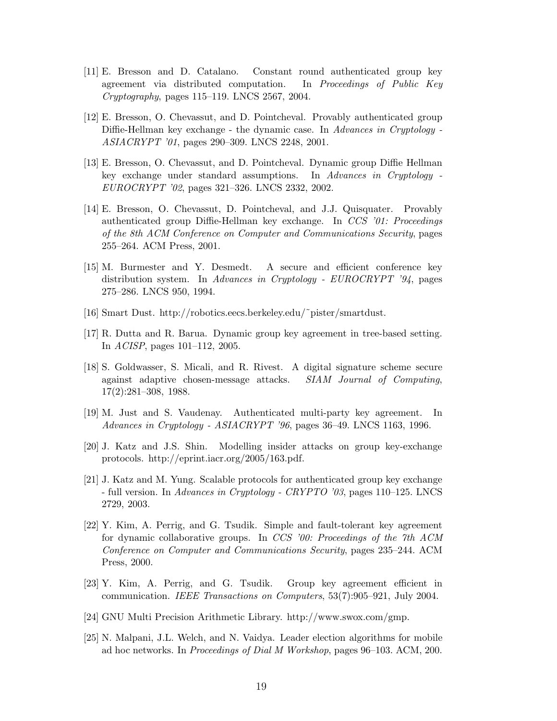- [11] E. Bresson and D. Catalano. Constant round authenticated group key agreement via distributed computation. In *Proceedings of Public Key Cryptography*, pages 115–119. LNCS 2567, 2004.
- [12] E. Bresson, O. Chevassut, and D. Pointcheval. Provably authenticated group Diffie-Hellman key exchange - the dynamic case. In *Advances in Cryptology - ASIACRYPT '01*, pages 290–309. LNCS 2248, 2001.
- [13] E. Bresson, O. Chevassut, and D. Pointcheval. Dynamic group Diffie Hellman key exchange under standard assumptions. In *Advances in Cryptology - EUROCRYPT '02*, pages 321–326. LNCS 2332, 2002.
- [14] E. Bresson, O. Chevassut, D. Pointcheval, and J.J. Quisquater. Provably authenticated group Diffie-Hellman key exchange. In *CCS '01: Proceedings of the 8th ACM Conference on Computer and Communications Security*, pages 255–264. ACM Press, 2001.
- [15] M. Burmester and Y. Desmedt. A secure and efficient conference key distribution system. In *Advances in Cryptology - EUROCRYPT '94*, pages 275–286. LNCS 950, 1994.
- [16] Smart Dust. http://robotics.eecs.berkeley.edu/˜pister/smartdust.
- [17] R. Dutta and R. Barua. Dynamic group key agreement in tree-based setting. In *ACISP*, pages 101–112, 2005.
- [18] S. Goldwasser, S. Micali, and R. Rivest. A digital signature scheme secure against adaptive chosen-message attacks. *SIAM Journal of Computing*, 17(2):281–308, 1988.
- [19] M. Just and S. Vaudenay. Authenticated multi-party key agreement. In *Advances in Cryptology - ASIACRYPT '96*, pages 36–49. LNCS 1163, 1996.
- [20] J. Katz and J.S. Shin. Modelling insider attacks on group key-exchange protocols. http://eprint.iacr.org/2005/163.pdf.
- [21] J. Katz and M. Yung. Scalable protocols for authenticated group key exchange - full version. In *Advances in Cryptology - CRYPTO '03*, pages 110–125. LNCS 2729, 2003.
- [22] Y. Kim, A. Perrig, and G. Tsudik. Simple and fault-tolerant key agreement for dynamic collaborative groups. In *CCS '00: Proceedings of the 7th ACM Conference on Computer and Communications Security*, pages 235–244. ACM Press, 2000.
- [23] Y. Kim, A. Perrig, and G. Tsudik. Group key agreement efficient in communication. *IEEE Transactions on Computers*, 53(7):905–921, July 2004.
- [24] GNU Multi Precision Arithmetic Library. http://www.swox.com/gmp.
- [25] N. Malpani, J.L. Welch, and N. Vaidya. Leader election algorithms for mobile ad hoc networks. In *Proceedings of Dial M Workshop*, pages 96–103. ACM, 200.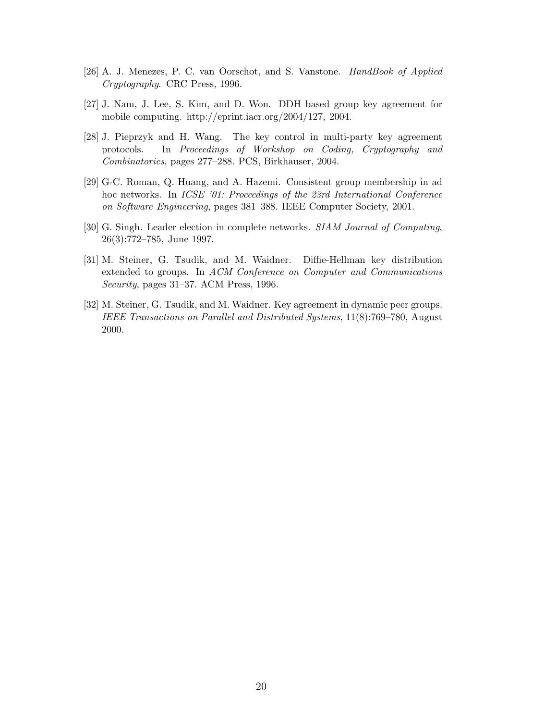- [26] A. J. Menezes, P. C. van Oorschot, and S. Vanstone. *HandBook of Applied Cryptography*. CRC Press, 1996.
- [27] J. Nam, J. Lee, S. Kim, and D. Won. DDH based group key agreement for mobile computing. http://eprint.iacr.org/2004/127, 2004.
- [28] J. Pieprzyk and H. Wang. The key control in multi-party key agreement protocols. In *Proceedings of Workshop on Coding, Cryptography and Combinatorics*, pages 277–288. PCS, Birkhauser, 2004.
- [29] G-C. Roman, Q. Huang, and A. Hazemi. Consistent group membership in ad hoc networks. In *ICSE '01: Proceedings of the 23rd International Conference on Software Engineering*, pages 381–388. IEEE Computer Society, 2001.
- [30] G. Singh. Leader election in complete networks. *SIAM Journal of Computing*, 26(3):772–785, June 1997.
- [31] M. Steiner, G. Tsudik, and M. Waidner. Diffie-Hellman key distribution extended to groups. In *ACM Conference on Computer and Communications Security*, pages 31–37. ACM Press, 1996.
- [32] M. Steiner, G. Tsudik, and M. Waidner. Key agreement in dynamic peer groups. *IEEE Transactions on Parallel and Distributed Systems*, 11(8):769–780, August 2000.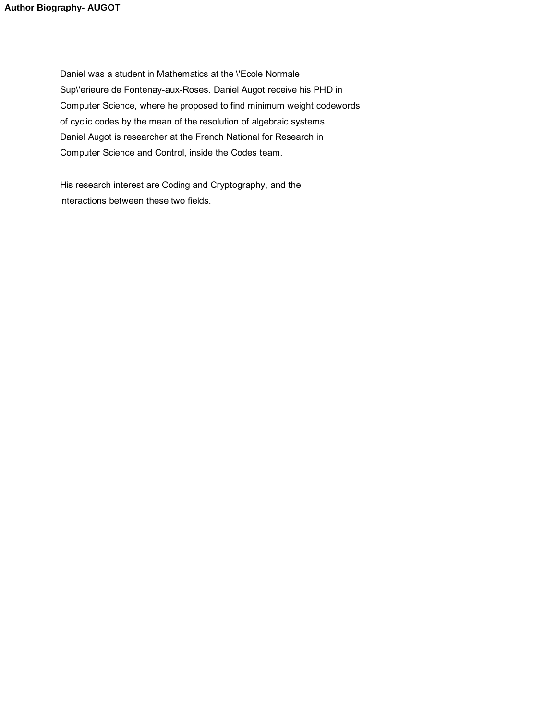Daniel was a student in Mathematics at the \'Ecole Normale Sup\'erieure de Fontenay-aux-Roses. Daniel Augot receive his PHD in Computer Science, where he proposed to find minimum weight codewords of cyclic codes by the mean of the resolution of algebraic systems. Daniel Augot is researcher at the French National for Research in Computer Science and Control, inside the Codes team.

His research interest are Coding and Cryptography, and the interactions between these two fields.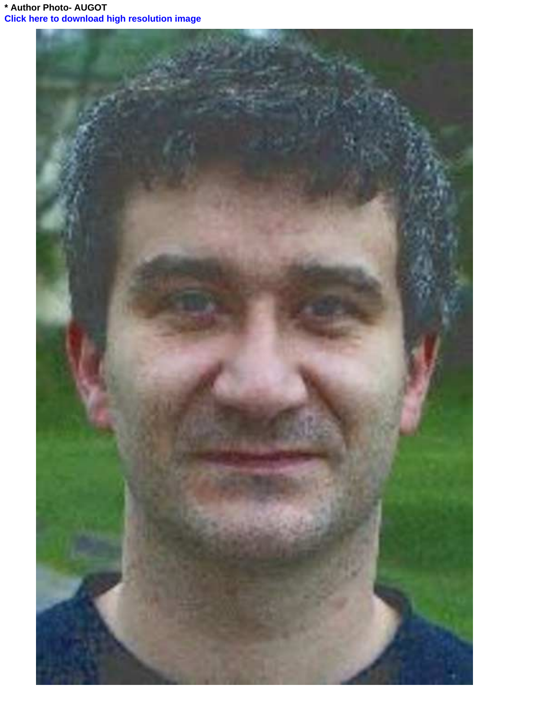**\* Author Photo- AUGOT [Click here to download high resolution image](http://ees.elsevier.com/pmc/download.aspx?id=2662&guid=e7ecfbba-efb5-41d8-8272-860a21ed9f32&scheme=1)**

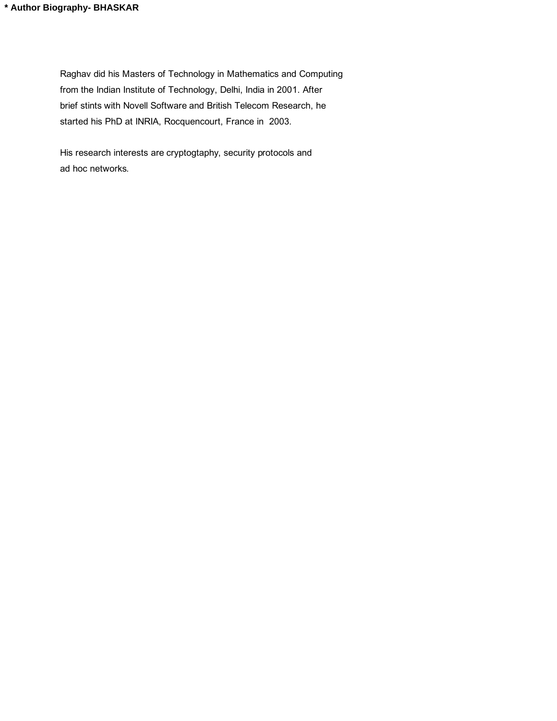Raghav did his Masters of Technology in Mathematics and Computing from the Indian Institute of Technology, Delhi, India in 2001. After brief stints with Novell Software and British Telecom Research, he started his PhD at INRIA, Rocquencourt, France in 2003.

His research interests are cryptogtaphy, security protocols and ad hoc networks.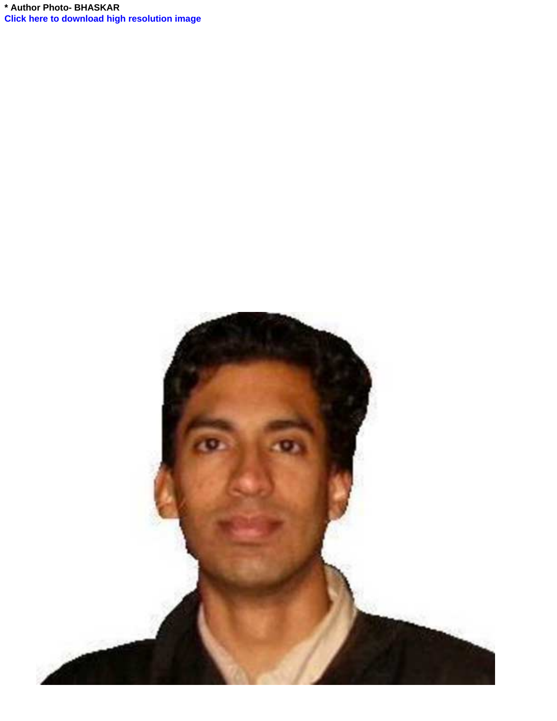**\* Author Photo- BHASKAR [Click here to download high resolution image](http://ees.elsevier.com/pmc/download.aspx?id=2664&guid=3cd69dd8-04bd-4141-8907-c075a6e52099&scheme=1)**

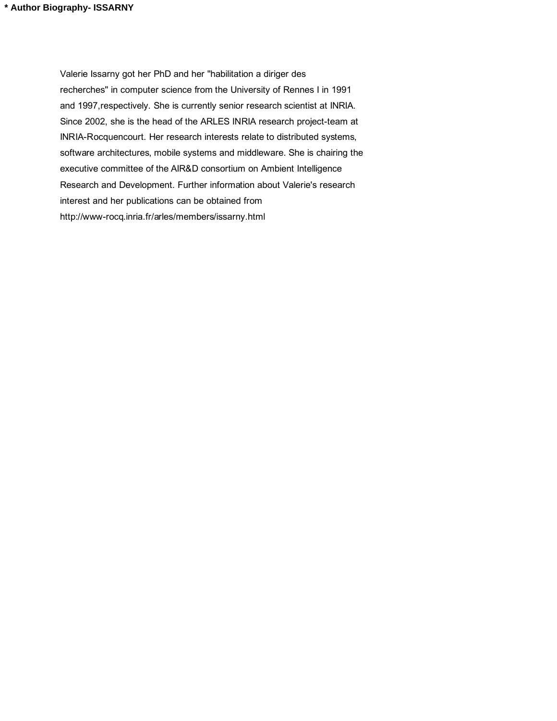Valerie Issarny got her PhD and her "habilitation a diriger des recherches" in computer science from the University of Rennes I in 1991 and 1997,respectively. She is currently senior research scientist at INRIA. Since 2002, she is the head of the ARLES INRIA research project-team at INRIA-Rocquencourt. Her research interests relate to distributed systems, software architectures, mobile systems and middleware. She is chairing the executive committee of the AIR&D consortium on Ambient Intelligence Research and Development. Further information about Valerie's research interest and her publications can be obtained from http://www-rocq.inria.fr/arles/members/issarny.html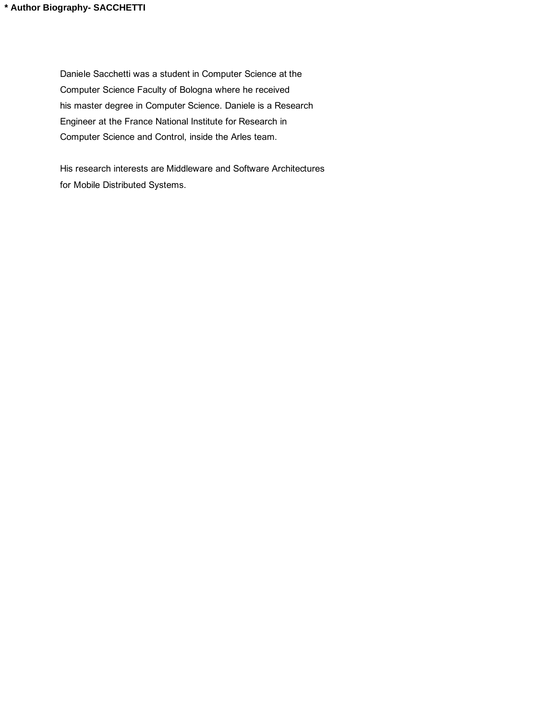Daniele Sacchetti was a student in Computer Science at the Computer Science Faculty of Bologna where he received his master degree in Computer Science. Daniele is a Research Engineer at the France National Institute for Research in Computer Science and Control, inside the Arles team.

His research interests are Middleware and Software Architectures for Mobile Distributed Systems.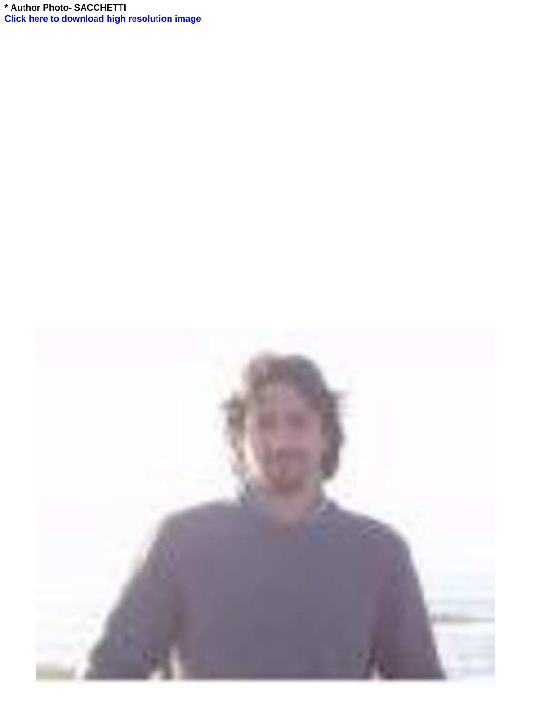**\* Author Photo- SACCHETTI [Click here to download high resolution image](http://ees.elsevier.com/pmc/download.aspx?id=2667&guid=ca1b4ca3-caed-4703-8c54-9770ad8ce8f2&scheme=1)**

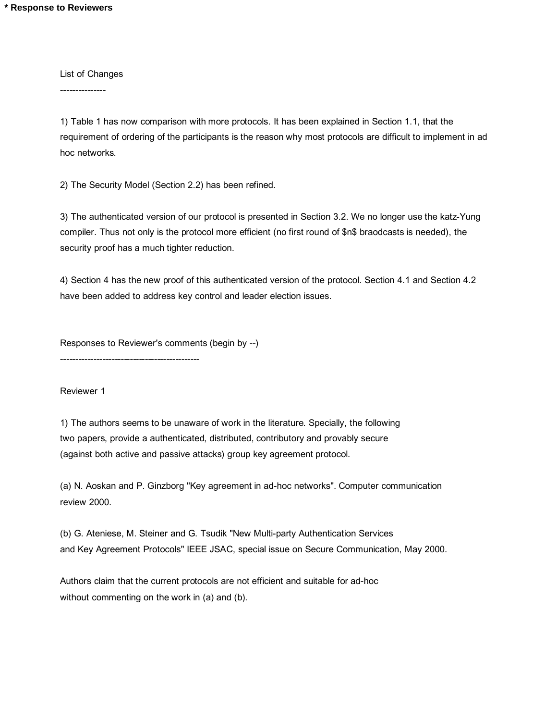List of Changes

---------------

1) Table 1 has now comparison with more protocols. It has been explained in Section 1.1, that the requirement of ordering of the participants is the reason why most protocols are difficult to implement in ad hoc networks.

2) The Security Model (Section 2.2) has been refined.

3) The authenticated version of our protocol is presented in Section 3.2. We no longer use the katz-Yung compiler. Thus not only is the protocol more efficient (no first round of \$n\$ braodcasts is needed), the security proof has a much tighter reduction.

4) Section 4 has the new proof of this authenticated version of the protocol. Section 4.1 and Section 4.2 have been added to address key control and leader election issues.

Responses to Reviewer's comments (begin by --)

----------------------------------------------

Reviewer 1

1) The authors seems to be unaware of work in the literature. Specially, the following two papers, provide a authenticated, distributed, contributory and provably secure (against both active and passive attacks) group key agreement protocol.

(a) N. Aoskan and P. Ginzborg "Key agreement in ad-hoc networks". Computer communication review 2000.

(b) G. Ateniese, M. Steiner and G. Tsudik "New Multi-party Authentication Services and Key Agreement Protocols" IEEE JSAC, special issue on Secure Communication, May 2000.

Authors claim that the current protocols are not efficient and suitable for ad-hoc without commenting on the work in (a) and (b).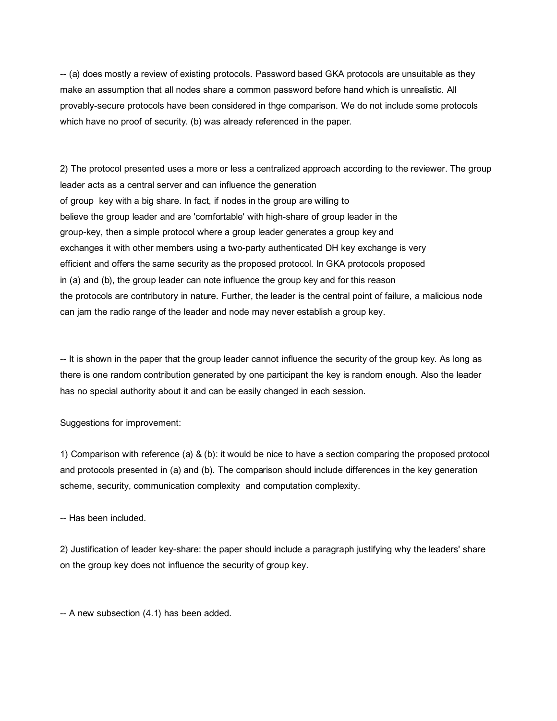-- (a) does mostly a review of existing protocols. Password based GKA protocols are unsuitable as they make an assumption that all nodes share a common password before hand which is unrealistic. All provably-secure protocols have been considered in thge comparison. We do not include some protocols which have no proof of security. (b) was already referenced in the paper.

2) The protocol presented uses a more or less a centralized approach according to the reviewer. The group leader acts as a central server and can influence the generation of group key with a big share. In fact, if nodes in the group are willing to believe the group leader and are 'comfortable' with high-share of group leader in the group-key, then a simple protocol where a group leader generates a group key and exchanges it with other members using a two-party authenticated DH key exchange is very efficient and offers the same security as the proposed protocol. In GKA protocols proposed in (a) and (b), the group leader can note influence the group key and for this reason the protocols are contributory in nature. Further, the leader is the central point of failure, a malicious node can jam the radio range of the leader and node may never establish a group key.

-- It is shown in the paper that the group leader cannot influence the security of the group key. As long as there is one random contribution generated by one participant the key is random enough. Also the leader has no special authority about it and can be easily changed in each session.

Suggestions for improvement:

1) Comparison with reference (a)  $\&$  (b): it would be nice to have a section comparing the proposed protocol and protocols presented in (a) and (b). The comparison should include differences in the key generation scheme, security, communication complexity and computation complexity.

-- Has been included.

2) Justification of leader key-share: the paper should include a paragraph justifying why the leaders' share on the group key does not influence the security of group key.

-- A new subsection (4.1) has been added.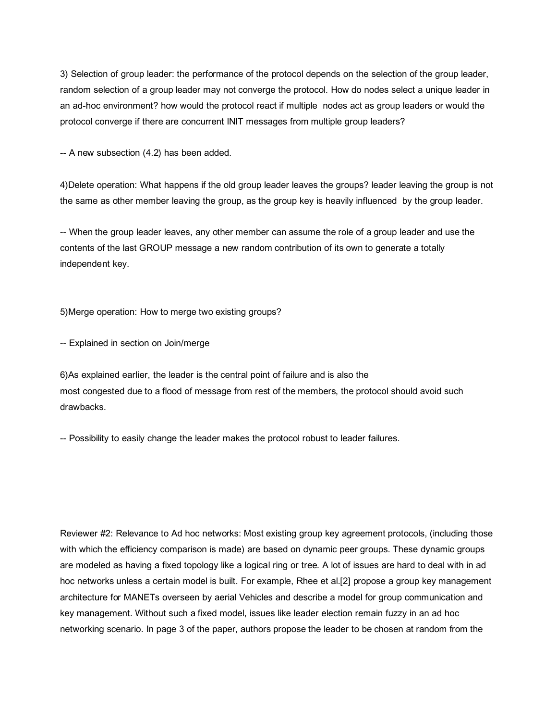3) Selection of group leader: the performance of the protocol depends on the selection of the group leader, random selection of a group leader may not converge the protocol. How do nodes select a unique leader in an ad-hoc environment? how would the protocol react if multiple nodes act as group leaders or would the protocol converge if there are concurrent INIT messages from multiple group leaders?

-- A new subsection (4.2) has been added.

4)Delete operation: What happens if the old group leader leaves the groups? leader leaving the group is not the same as other member leaving the group, as the group key is heavily influenced by the group leader.

-- When the group leader leaves, any other member can assume the role of a group leader and use the contents of the last GROUP message a new random contribution of its own to generate a totally independent key.

5)Merge operation: How to merge two existing groups?

-- Explained in section on Join/merge

6)As explained earlier, the leader is the central point of failure and is also the most congested due to a flood of message from rest of the members, the protocol should avoid such drawbacks.

-- Possibility to easily change the leader makes the protocol robust to leader failures.

Reviewer #2: Relevance to Ad hoc networks: Most existing group key agreement protocols, (including those with which the efficiency comparison is made) are based on dynamic peer groups. These dynamic groups are modeled as having a fixed topology like a logical ring or tree. A lot of issues are hard to deal with in ad hoc networks unless a certain model is built. For example, Rhee et al.[2] propose a group key management architecture for MANETs overseen by aerial Vehicles and describe a model for group communication and key management. Without such a fixed model, issues like leader election remain fuzzy in an ad hoc networking scenario. In page 3 of the paper, authors propose the leader to be chosen at random from the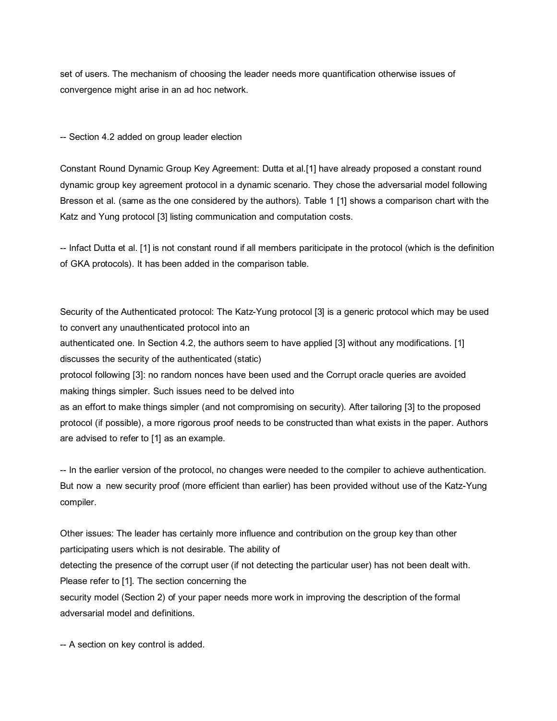set of users. The mechanism of choosing the leader needs more quantification otherwise issues of convergence might arise in an ad hoc network.

-- Section 4.2 added on group leader election

Constant Round Dynamic Group Key Agreement: Dutta et al.[1] have already proposed a constant round dynamic group key agreement protocol in a dynamic scenario. They chose the adversarial model following Bresson et al. (same as the one considered by the authors). Table 1 [1] shows a comparison chart with the Katz and Yung protocol [3] listing communication and computation costs.

-- Infact Dutta et al. [1] is not constant round if all members pariticipate in the protocol (which is the definition of GKA protocols). It has been added in the comparison table.

Security of the Authenticated protocol: The Katz-Yung protocol [3] is a generic protocol which may be used to convert any unauthenticated protocol into an

authenticated one. In Section 4.2, the authors seem to have applied [3] without any modifications. [1] discusses the security of the authenticated (static)

protocol following [3]: no random nonces have been used and the Corrupt oracle queries are avoided making things simpler. Such issues need to be delved into

as an effort to make things simpler (and not compromising on security). After tailoring [3] to the proposed protocol (if possible), a more rigorous proof needs to be constructed than what exists in the paper. Authors are advised to refer to [1] as an example.

-- In the earlier version of the protocol, no changes were needed to the compiler to achieve authentication. But now a new security proof (more efficient than earlier) has been provided without use of the Katz-Yung compiler.

Other issues: The leader has certainly more influence and contribution on the group key than other participating users which is not desirable. The ability of detecting the presence of the corrupt user (if not detecting the particular user) has not been dealt with. Please refer to [1]. The section concerning the security model (Section 2) of your paper needs more work in improving the description of the formal adversarial model and definitions.

-- A section on key control is added.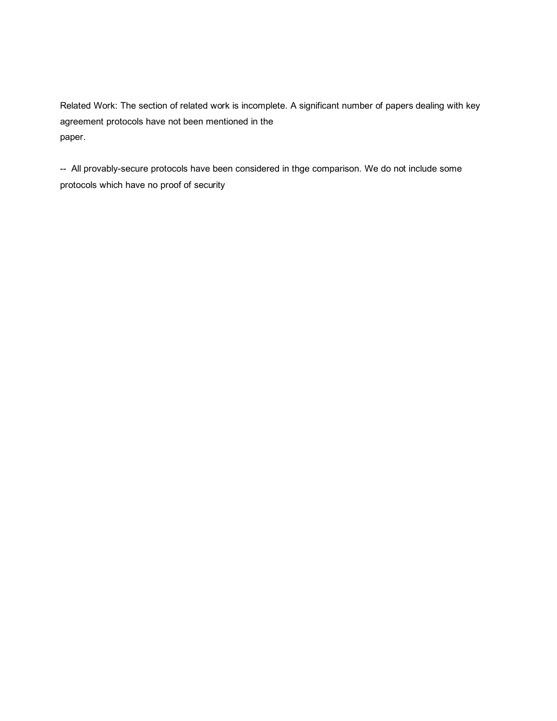Related Work: The section of related work is incomplete. A significant number of papers dealing with key agreement protocols have not been mentioned in the paper.

-- All provably-secure protocols have been considered in thge comparison. We do not include some protocols which have no proof of security